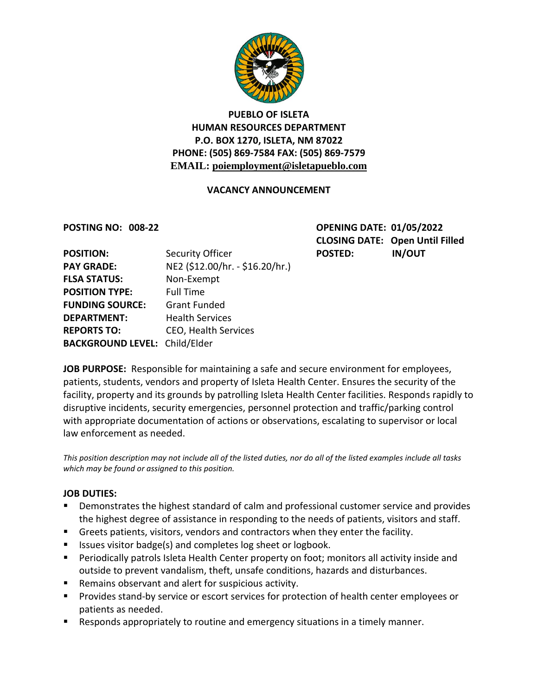

## **PUEBLO OF ISLETA HUMAN RESOURCES DEPARTMENT P.O. BOX 1270, ISLETA, NM 87022 PHONE: (505) 869-7584 FAX: (505) 869-7579 EMAIL: poiemployment@isletapueblo.com**

### **VACANCY ANNOUNCEMENT**

**POSTING NO: 008-22 OPENING DATE: 01/05/2022 CLOSING DATE: Open Until Filled**

| <b>POSITION:</b>                     | Security Officer                | <b>POSTED:</b> | <b>IN/OUT</b> |
|--------------------------------------|---------------------------------|----------------|---------------|
| <b>PAY GRADE:</b>                    | NE2 (\$12.00/hr. - \$16.20/hr.) |                |               |
| <b>FLSA STATUS:</b>                  | Non-Exempt                      |                |               |
| <b>POSITION TYPE:</b>                | <b>Full Time</b>                |                |               |
| <b>FUNDING SOURCE:</b>               | <b>Grant Funded</b>             |                |               |
| <b>DEPARTMENT:</b>                   | <b>Health Services</b>          |                |               |
| <b>REPORTS TO:</b>                   | <b>CEO, Health Services</b>     |                |               |
| <b>BACKGROUND LEVEL: Child/Elder</b> |                                 |                |               |

**JOB PURPOSE:** Responsible for maintaining a safe and secure environment for employees, patients, students, vendors and property of Isleta Health Center. Ensures the security of the facility, property and its grounds by patrolling Isleta Health Center facilities. Responds rapidly to disruptive incidents, security emergencies, personnel protection and traffic/parking control with appropriate documentation of actions or observations, escalating to supervisor or local law enforcement as needed.

*This position description may not include all of the listed duties, nor do all of the listed examples include all tasks which may be found or assigned to this position.*

#### **JOB DUTIES:**

- Demonstrates the highest standard of calm and professional customer service and provides the highest degree of assistance in responding to the needs of patients, visitors and staff.
- Greets patients, visitors, vendors and contractors when they enter the facility.
- Issues visitor badge(s) and completes log sheet or logbook.
- Periodically patrols Isleta Health Center property on foot; monitors all activity inside and outside to prevent vandalism, theft, unsafe conditions, hazards and disturbances.
- Remains observant and alert for suspicious activity.
- **Provides stand-by service or escort services for protection of health center employees or** patients as needed.
- Responds appropriately to routine and emergency situations in a timely manner.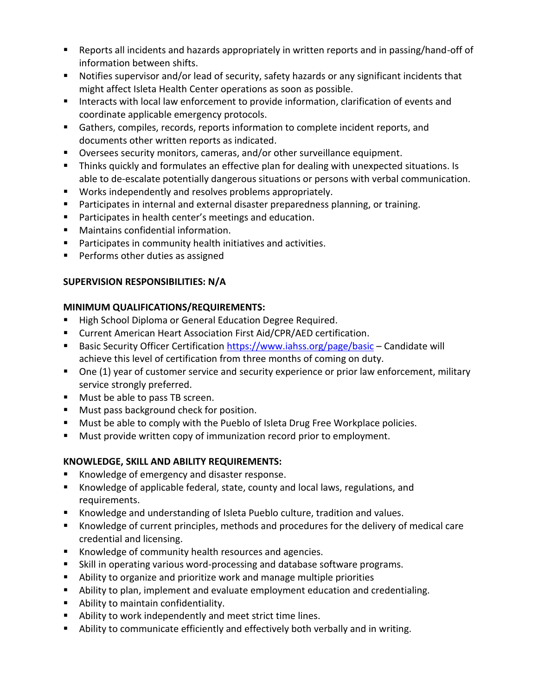- Reports all incidents and hazards appropriately in written reports and in passing/hand-off of information between shifts.
- Notifies supervisor and/or lead of security, safety hazards or any significant incidents that might affect Isleta Health Center operations as soon as possible.
- Interacts with local law enforcement to provide information, clarification of events and coordinate applicable emergency protocols.
- Gathers, compiles, records, reports information to complete incident reports, and documents other written reports as indicated.
- Oversees security monitors, cameras, and/or other surveillance equipment.
- Thinks quickly and formulates an effective plan for dealing with unexpected situations. Is able to de-escalate potentially dangerous situations or persons with verbal communication.
- **Works independently and resolves problems appropriately.**
- **Participates in internal and external disaster preparedness planning, or training.**
- **Participates in health center's meetings and education.**
- Maintains confidential information.
- **Participates in community health initiatives and activities.**
- **Performs other duties as assigned**

# **SUPERVISION RESPONSIBILITIES: N/A**

## **MINIMUM QUALIFICATIONS/REQUIREMENTS:**

- **High School Diploma or General Education Degree Required.**
- **E** Current American Heart Association First Aid/CPR/AED certification.
- **Basic Security Officer Certification<https://www.iahss.org/page/basic> Candidate will** achieve this level of certification from three months of coming on duty.
- One (1) year of customer service and security experience or prior law enforcement, military service strongly preferred.
- **Must be able to pass TB screen.**
- **Must pass background check for position.**
- **Must be able to comply with the Pueblo of Isleta Drug Free Workplace policies.**
- **Must provide written copy of immunization record prior to employment.**

## **KNOWLEDGE, SKILL AND ABILITY REQUIREMENTS:**

- Knowledge of emergency and disaster response.
- Knowledge of applicable federal, state, county and local laws, regulations, and requirements.
- Knowledge and understanding of Isleta Pueblo culture, tradition and values.
- Knowledge of current principles, methods and procedures for the delivery of medical care credential and licensing.
- Knowledge of community health resources and agencies.
- Skill in operating various word-processing and database software programs.
- Ability to organize and prioritize work and manage multiple priorities
- Ability to plan, implement and evaluate employment education and credentialing.
- Ability to maintain confidentiality.
- Ability to work independently and meet strict time lines.
- Ability to communicate efficiently and effectively both verbally and in writing.